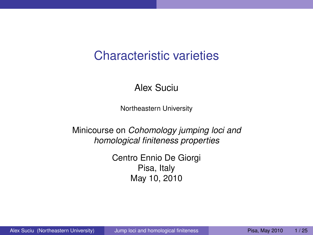## Characteristic varieties

#### Alex Suciu

Northeastern University

Minicourse on *Cohomology jumping loci and homological finiteness properties*

> <span id="page-0-0"></span>Centro Ennio De Giorgi Pisa, Italy May 10, 2010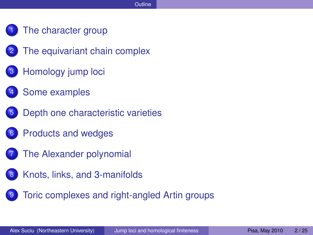- [The character group](#page-2-0)
- [The equivariant chain complex](#page-4-0)
- [Homology jump loci](#page-6-0)
- [Some examples](#page-9-0)
- [Depth one characteristic varieties](#page-12-0)
- 6 [Products and wedges](#page-14-0)
- 7 [The Alexander polynomial](#page-17-0)
- 8 [Knots, links, and](#page-19-0) 3-manifolds
- [Toric complexes and right-angled Artin groups](#page-21-0)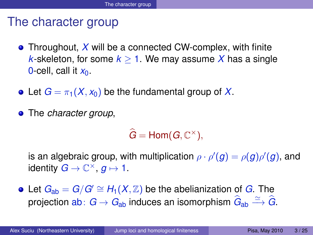## The character group

- **•** Throughout, X will be a connected CW-complex, with finite *k*-skeleton, for some  $k > 1$ . We may assume X has a single 0-cell, call it  $x_0$ .
- Let  $G = \pi_1(X, x_0)$  be the fundamental group of X.
- The *character group*,

<span id="page-2-0"></span> $\widehat{G} = \text{Hom}(G, \mathbb{C}^{\times}),$ 

is an algebraic group, with multiplication  $\rho \cdot \rho'(g) = \rho(g) \rho'(g) ,$  and identity  $G \to \mathbb{C}^{\times}$ ,  $g \mapsto 1$ .

 $\bullet$  Let  $G_{ab} = G/G' \cong H_1(X,\mathbb{Z})$  be the abelianization of *G*. The projection  $\textsf{ab}\colon G\to G_{\textsf{ab}}$  induces an isomorphism  $\hat G_{\textsf{ab}}\xrightarrow{\simeq}\hat G$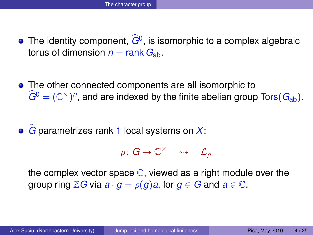- The identity component,  $G^0$ , is isomorphic to a complex algebraic torus of dimension  $n = \text{rank } G_{ab}$ .
- The other connected components are all isomorphic to  $\widehat{G}^0 = (\mathbb{C}^\times)^n$ , and are indexed by the finite abelian group  $\text{Tors}(G_{\text{ab}})$ .

# **•**  $\hat{G}$  parametrizes rank 1 local systems on *X*:

 $\rho\colon \boldsymbol{G}\to \mathbb{C}^{\times}$   $\leadsto$   $\mathcal{L}_{\rho}$ 

the complex vector space  $\mathbb C$ , viewed as a right module over the group ring  $\mathbb{Z}G$  via  $a \cdot g = \rho(g)a$ , for  $g \in G$  and  $a \in \mathbb{C}$ .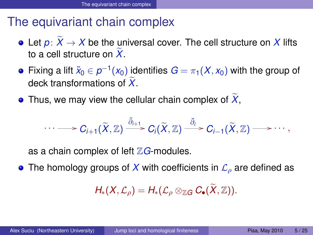## The equivariant chain complex

- Let  $p: \widetilde{X} \to X$  be the universal cover. The cell structure on X lifts to a cell structure on  $X$ .
- Fixing a lift  $\widetilde{x}_0\in \rho^{-1}(x_0)$  identifies  $G=\pi_1(X,x_0)$  with the group of deck transformations of X
- $\bullet$  Thus, we may view the cellular chain complex of  $X$ ,

$$
\cdots \longrightarrow C_{i+1}(\widetilde{X},\mathbb{Z}) \stackrel{\widetilde{\partial}_{i+1}}{\longrightarrow} C_i(\widetilde{X},\mathbb{Z}) \stackrel{\widetilde{\partial}_i}{\longrightarrow} C_{i-1}(\widetilde{X},\mathbb{Z}) \longrightarrow \cdots,
$$

as a chain complex of left  $\mathbb{Z}G$ -modules.

**•** The homology groups of X with coefficients in  $\mathcal{L}_o$  are defined as

<span id="page-4-0"></span>
$$
H_*(X,\mathcal{L}_{\rho})=H_*(\mathcal{L}_{\rho}\otimes_{\mathbb{Z} G} C_{\bullet}(\widetilde{X},\mathbb{Z})).
$$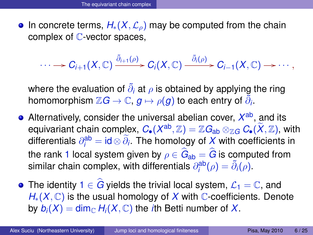• In concrete terms,  $H_*(X,\mathcal{L}_o)$  may be computed from the chain complex of  $\mathbb C$ -vector spaces,

 $\cdots \longrightarrow C_{i+1}(X,\mathbb{C}) \xrightarrow{\tilde{\partial}_{i+1}(\rho)} C_i(X,\mathbb{C}) \xrightarrow{\tilde{\partial}_{i}(\rho)} C_{i-1}(X,\mathbb{C}) \longrightarrow \cdots,$ 

where the evaluation of  $\tilde{\partial}_i$  at  $\rho$  is obtained by applying the ring homomorphism  $\mathbb{Z} G \to \mathbb{C}$ ,  $g \mapsto \rho(g)$  to each entry of  $\tilde{\partial}_{i}.$ 

- Alternatively, consider the universal abelian cover,  $X^{\rm ab}$ , and its equivariant chain complex,  $C_{\bullet}(X^{\text{ab}}, \mathbb{Z}) = \mathbb{Z} G_{\text{ab}} \otimes_{\mathbb{Z} G} C_{\bullet}(\widetilde{X}, \mathbb{Z}),$  with differentials  $\partial_i^{\text{ab}} = \mathsf{id} \otimes \partial_i$ . The homology of  $X$  with coefficients in the rank 1 local system given by  $\rho \in G_{\text{ab}} = G$  is computed from similar chain complex, with differentials  $\partial_i^{\text{ab}}(\rho) = \tilde{\partial}_i(\rho)$ .
- The identity  $1 \in \widehat{G}$  yields the trivial local system,  $\mathcal{L}_1 = \mathbb{C}$ , and *H*<sup>∗</sup>(*X*, ℂ) is the usual homology of *X* with ℂ-coefficients. Denote by  $b_i(X) = \dim_{\mathbb{C}} H_i(X, \mathbb{C})$  the *i*th Betti number of X.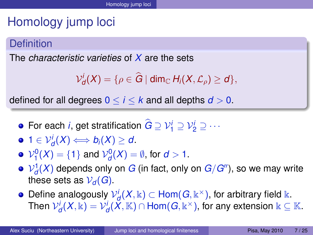# Homology jump loci

### **Definition**

The *characteristic varieties* of *X* are the sets

<span id="page-6-0"></span>
$$
\mathcal{V}_d^i(X) = \{ \rho \in \widehat{G} \mid \dim_{\mathbb{C}} H_i(X, \mathcal{L}_{\rho}) \geq d \},
$$

defined for all degrees  $0 \le i \le k$  and all depths  $d > 0$ .

- For each *i*, get stratification  $\hat{G} \supseteq V_1^i \supseteq V_2^i \supseteq \cdots$
- $1 \in V_d^i(X) \Longleftrightarrow b_i(X) \geq d.$
- $\mathcal{V}_1^0(X) = \{1\}$  and  $\mathcal{V}_d^0(X) = \emptyset$ , for  $d > 1$ .
- ${\mathcal{V}}_d^1(X)$  depends only on  $G$  (in fact, only on  $G/G^{\prime\prime}),$  so we may write these sets as  $V_d(G)$ .
- Define analogously  ${\mathcal V}_{{\mathcal d}}^i(X,{\Bbbk})\subset {\sf Hom}(G,{\Bbbk}^\times),$  for arbitrary field  ${\Bbbk}.$  $\mathcal{V}^i_{\mathcal{d}}(X,\Bbbk)=\mathcal{V}^i_{\mathcal{d}}(\breve{X},\BbbK)\cap\mathsf{Hom}(\bm{G},\Bbbk^{\times}),$  for any extension  $\Bbbk\subseteq\Bbb K.$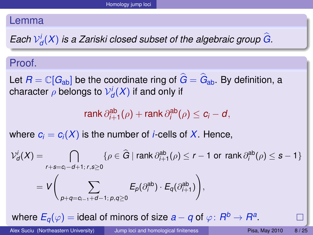#### Lemma

*Each*  $V_d^i(X)$  *is a Zariski closed subset of the algebraic group G.* 

#### Proof.

Let  $R = \mathbb{C}[G_{ab}]$  be the coordinate ring of  $\hat{G} = \hat{G}_{ab}$ . By definition, a character  $\rho$  belongs to  $\mathcal{V}^i_d(X)$  if and only if

 $rank \partial_{i+1}^{ab}(\rho) + rank \partial_i^{ab}(\rho) \leq c_i - d,$ 

where  $c_i = c_i(X)$  is the number of *i*-cells of X. Hence,

$$
\mathcal{V}_d^i(X) = \bigcap_{r+s=c_i-d+1; r,s \ge 0} \{ \rho \in \widehat{G} \mid \operatorname{rank} \partial_{i+1}^{ab}(\rho) \le r-1 \text{ or } \operatorname{rank} \partial_i^{ab}(\rho) \le s-1 \}
$$
  
= 
$$
V \bigg( \sum_{p+q=c_{i-1}+d-1; p,q \ge 0} E_p(\partial_i^{ab}) \cdot E_q(\partial_{i+1}^{ab}) \bigg),
$$

where  $E_q(\varphi) =$  ideal of minors of size  $a - q$  of  $\varphi \colon R^b \to R^a.$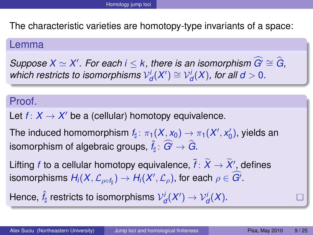The characteristic varieties are homotopy-type invariants of a space:

#### Lemma

 $Suppose X \simeq X'$  *For each i* ≤ *k, there is an isomorphism*  $\widehat{G'} \cong \widehat{G}$ *,*  $\textit{which restricts to isomorphisms } \mathcal{V}^i_d(X') \cong \mathcal{V}^i_d(X), \text{ for all } d > 0.$ 

### Proof.

Let  $f: X \to X'$  be a (cellular) homotopy equivalence.

The induced homomorphism  $f_{\sharp} \colon \pi_1(X, x_0) \to \pi_1(X', x_0') ,$  yields an isomorphism of algebraic groups,  $\hat{f}_{\sharp} \colon \widehat{G}^{\prime} \to \widehat{G}.$ 

Lifting  $f$  to a cellular homotopy equivalence,  $\widetilde{f} \colon \widetilde{X} \to \widetilde{X}'$  defines isomorphisms  $H_i(X,\mathcal{L}_{\rho\circ f_{\sharp}}) \to H_i(X',\mathcal{L}_{\rho}),$  for each  $\rho \in \overline{G'}$ .

Hence,  $\hat{f}_{\sharp}$  restricts to isomorphisms  ${\mathcal{V}}_{{\mathcal{d}}}^i(X')\to{\mathcal{V}}_{{\mathcal{d}}}^i(X).$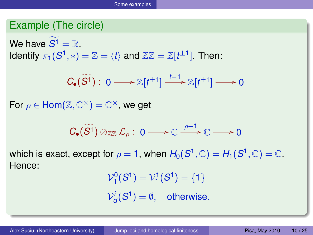### Example (The circle)

We have  $\widetilde{S^1} = \mathbb{R}$ . Identify  $\pi_1(S^1,*) = \mathbb{Z} = \langle t \rangle$  and  $\mathbb{Z}\mathbb{Z} = \mathbb{Z}[t^{\pm 1}].$  Then:

$$
C_{\bullet}(\widetilde{S}^1): 0 \longrightarrow \mathbb{Z}[t^{\pm 1}] \xrightarrow{t-1} \mathbb{Z}[t^{\pm 1}] \longrightarrow 0
$$

For  $\rho \in \text{Hom}(\mathbb{Z}, \mathbb{C}^\times) = \mathbb{C}^\times$ , we get

$$
C_{\bullet}(\widetilde{S^1})\otimes_{\mathbb{Z}\mathbb{Z}}\mathcal{L}_{\rho}: 0\longrightarrow \mathbb{C} \stackrel{\rho-1}{\longrightarrow} \mathbb{C} \longrightarrow 0
$$

which is exact, except for  $\rho = 1$ , when  $H_0(\mathcal{S}^1,\mathbb{C}) = H_1(\mathcal{S}^1,\mathbb{C}) = \mathbb{C}.$ Hence:

<span id="page-9-0"></span>
$$
\mathcal{V}_1^0(S^1) = \mathcal{V}_1^1(S^1) = \{1\}
$$
  

$$
\mathcal{V}_d^i(S^1) = \emptyset, \quad \text{otherwise.}
$$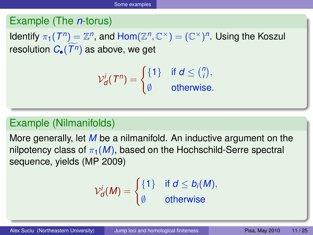### Example (The *n*-torus)

Identify  $\pi_1(T^n) = \mathbb{Z}^n$ , and  $\text{Hom}(\mathbb{Z}^n, \mathbb{C}^\times) = (\mathbb{C}^\times)^n$ . Using the Koszul resolution  $C_{\bullet}(T^n)$  as above, we get

$$
\mathcal{V}_d^i(T^n) = \begin{cases} \{1\} & \text{if } d \leq \binom{n}{i}, \\ \emptyset & \text{otherwise.} \end{cases}
$$

### Example (Nilmanifolds)

More generally, let *M* be a nilmanifold. An inductive argument on the nilpotency class of  $\pi_1(M)$ , based on the Hochschild-Serre spectral sequence, yields (MP 2009)

$$
\mathcal{V}_d^i(M) = \begin{cases} \{1\} & \text{if } d \leq b_i(M), \\ \emptyset & \text{otherwise} \end{cases}
$$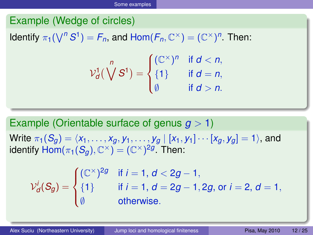### Example (Wedge of circles)

Identify  $\pi_1(\bigvee^n S^1) = F_n$ , and  $\text{Hom}(F_n, \mathbb{C}^\times) = (\mathbb{C}^\times)^n$ . Then:

$$
\mathcal{V}_d^1(\bigvee^n S^1) = \begin{cases} (\mathbb{C}^\times)^n & \text{if } d < n, \\ \{1\} & \text{if } d = n, \\ \emptyset & \text{if } d > n. \end{cases}
$$

Example (Orientable surface of genus *g* > 1) Write  $\pi_1(S_q) = \langle x_1, \ldots, x_q, y_1, \ldots, y_q | [x_1, y_1] \cdots [x_q, y_q] = 1 \rangle$ , and identify  $\mathsf{Hom}(\pi_1(\mathcal{S}_g),\mathbb{C}^\times) = (\mathbb{C}^\times)^{2g}$  Then:

$$
\mathcal{V}_d^i(S_g) = \begin{cases}\n(\mathbb{C}^{\times})^{2g} & \text{if } i = 1, d < 2g - 1, \\
\{1\} & \text{if } i = 1, d = 2g - 1, 2g, \text{ or } i = 2, d = 1, \\
\emptyset & \text{otherwise.} \n\end{cases}
$$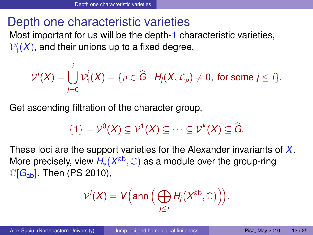### Depth one characteristic varieties

Most important for us will be the depth-1 characteristic varieties,  $\mathcal{V}_1^i(X)$ , and their unions up to a fixed degree,

$$
\mathcal{V}^i(X) = \bigcup_{j=0}^i \mathcal{V}^j_1(X) = \{ \rho \in \widehat{G} \mid H_j(X, \mathcal{L}_\rho) \neq 0, \text{ for some } j \leq i \}.
$$

Get ascending filtration of the character group,

$$
\{1\}=\mathcal{V}^0(X)\subseteq\mathcal{V}^1(X)\subseteq\cdots\subseteq\mathcal{V}^k(X)\subseteq\widehat{G}.
$$

These loci are the support varieties for the Alexander invariants of *X*. More precisely, view *H<sub>∗</sub>(X<sup>ab</sup>, ℂ)* as a module over the group-ring  $\mathbb{C}[G_{ab}]$ . Then (PS 2010),

<span id="page-12-0"></span>
$$
\mathcal{V}^i(X) = V\Big(\text{ann}\Big(\bigoplus_{j\leq i} H_j(X^{\text{ab}}, \mathbb{C})\Big)\Big).
$$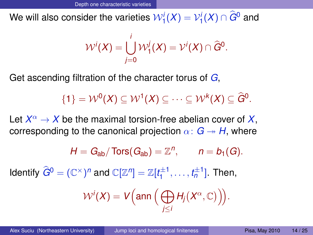We will also consider the varieties  $\mathcal{W}^i_1(X) = \mathcal{V}^i_1(X) \cap G^0$  and

$$
\mathcal{W}^i(X) = \bigcup_{j=0}^i \mathcal{W}^j_1(X) = \mathcal{V}^i(X) \cap \widehat{G}^0.
$$

Get ascending filtration of the character torus of *G*,

$$
\{1\} = \mathcal{W}^0(X) \subseteq \mathcal{W}^1(X) \subseteq \cdots \subseteq \mathcal{W}^k(X) \subseteq \widehat{G}^0.
$$

Let  $X^\alpha \to X$  be the maximal torsion-free abelian cover of  $X,$ corresponding to the canonical projection  $\alpha: G \rightarrow H$ , where

$$
H = G_{ab}/\operatorname{Tors}(G_{ab}) = \mathbb{Z}^n, \qquad n = b_1(G).
$$

Identify  $\widehat{G}^0 = (\mathbb{C}^\times)^n$  and  $\mathbb{C}[\mathbb{Z}^n] = \mathbb{Z}[t_1^{\pm 1}]$  $t_1^{\pm 1}, \ldots, t_n^{\pm 1}$ ]. Then,

$$
\mathcal{W}^i(X) = V\Big(\text{ann}\Big(\bigoplus_{j\leq i} H_j(X^{\alpha},\mathbb{C})\Big)\Big).
$$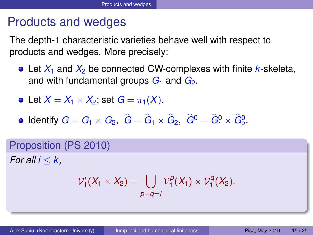## Products and wedges

The depth-1 characteristic varieties behave well with respect to products and wedges. More precisely:

- Let  $X_1$  and  $X_2$  be connected CW-complexes with finite *k*-skeleta, and with fundamental groups  $G_1$  and  $G_2$ .
- Let  $X = X_1 \times X_2$ ; set  $G = \pi_1(X)$ .
- Identify  $G = G_1 \times G_2$ ,  $G = G_1 \times G_2$ ,  $G^0 = G_1^0 \times G_2^0$ .

Proposition (PS 2010) *For all*  $i < k$ 

<span id="page-14-0"></span>
$$
\mathcal{V}_1^i(X_1 \times X_2) = \bigcup_{p+q=i} \mathcal{V}_1^p(X_1) \times \mathcal{V}_1^q(X_2).
$$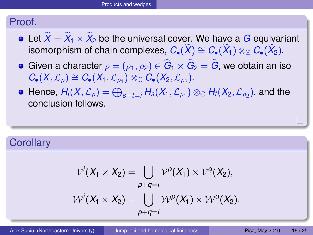#### Proof.

- Let  $X = X_1 \times X_2$  be the universal cover. We have a *G*-equivariant isomorphism of chain complexes,  $C_{\bullet}(\widetilde{X}) \cong C_{\bullet}(\widetilde{X}_1) \otimes_{\mathbb{Z}} C_{\bullet}(\widetilde{X}_2).$
- Given a character  $\rho = (\rho_1, \rho_2) \in G_1 \times G_2 = G$ , we obtain an iso  $C_{\bullet}(X, \mathcal{L}_{\rho}) \cong C_{\bullet}(X_1, \mathcal{L}_{\rho_1}) \otimes_{\mathbb{C}} C_{\bullet}(X_2, \mathcal{L}_{\rho_2}).$
- $H$ ence,  $H$ *i*( $X, \mathcal{L}_\rho$ )  $= \bigoplus_{s+t=i} H_s(X_1, \mathcal{L}_{\rho_1}) \otimes_{\mathbb{C}} H_t(X_2, \mathcal{L}_{\rho_2})$ , and the conclusion follows.

### **Corollary**

$$
\mathcal{V}^i(X_1 \times X_2) = \bigcup_{p+q=i} \mathcal{V}^p(X_1) \times \mathcal{V}^q(X_2),
$$
  

$$
\mathcal{W}^i(X_1 \times X_2) = \bigcup_{p+q=i} \mathcal{W}^p(X_1) \times \mathcal{W}^q(X_2).
$$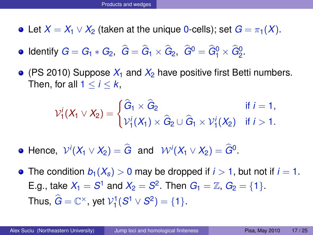- Let  $X = X_1 \vee X_2$  (taken at the unique 0-cells); set  $G = \pi_1(X)$ .
- $\mathsf{Identity} \; G = G_1 * G_2, \; G = G_1 \times G_2, \; G^0 = G_1^0 \times G_2^0.$
- $\bullet$  (PS 2010) Suppose  $X_1$  and  $X_2$  have positive first Betti numbers. Then, for all  $1 \leq i \leq k$ .

$$
\mathcal{V}_1^i(X_1 \vee X_2) = \begin{cases} \widehat{G}_1 \times \widehat{G}_2 & \text{if } i = 1, \\ \mathcal{V}_1^i(X_1) \times \widehat{G}_2 \cup \widehat{G}_1 \times \mathcal{V}_1^i(X_2) & \text{if } i > 1. \end{cases}
$$

- Hence,  $V^i(X_1 \vee X_2) = \hat{G}$  and  $W^i(X_1 \vee X_2) = \hat{G}^0$ .
- The condition  $b_1(X_s) > 0$  may be dropped if  $i > 1$ , but not if  $i = 1$ . E.g., take  $X_1 = S^1$  and  $X_2 = S^2$ . Then  $G_1 = \mathbb{Z}$ ,  $G_2 = \{1\}$ . Thus,  $\widehat{G} = \mathbb{C}^{\times}$ , yet  $\mathcal{V}_1^1(S^1 \vee S^2) = \{1\}.$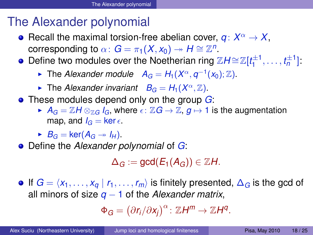## The Alexander polynomial

- Recall the maximal torsion-free abelian cover,  $q: X^{\alpha} \to X$ , corresponding to  $\alpha\colon G=\pi_1(X,x_0)\twoheadrightarrow H\cong \mathbb{Z}^n.$
- Define two modules over the Noetherian ring ZH≅Z[*t*<sup>±1</sup>  $t_1^{\pm 1}, \ldots, t_n^{\pm 1}$ ]
	- ► The *Alexander module*  $A_G = H_1(X^\alpha, q^{-1}(x_0); \mathbb{Z})$ .
	- **Figure** *Alexander invariant*  $B_G = H_1(X^\alpha, \mathbb{Z})$ .
- **•** These modules depend only on the group *G*:
	- $\blacktriangleright$  *A<sub>G</sub>* =  $\mathbb{Z}H \otimes_{\mathbb{Z}G} I_G$ , where  $\epsilon: \mathbb{Z}G \to \mathbb{Z}$ ,  $g \mapsto 1$  is the augmentation map, and  $I_G = \ker \epsilon$ .
	- $\blacktriangleright$  *B<sub>G</sub>* = ker( $A_G \rightarrow I_H$ ).
- Define the *Alexander polynomial* of *G*:

 $\Delta_G$  := gcd( $E_1(A_G)$ )  $\in \mathbb{Z}$ *H*.

 $\bullet$  If *G* =  $\langle x_1, \ldots, x_a | r_1, \ldots, r_m \rangle$  is finitely presented, ∆<sub>*G*</sub> is the gcd of all minors of size *q* − 1 of the *Alexander matrix*,

<span id="page-17-0"></span>
$$
\Phi_G = \left(\partial r_i/\partial x_j\right)^{\alpha} : \mathbb{Z}H^m \to \mathbb{Z}H^q.
$$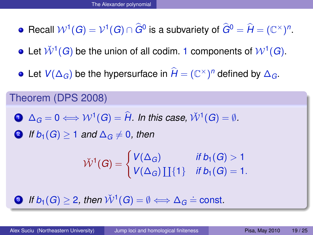- Recall  $W^1(G) = V^1(G) \cap \hat{G}^0$  is a subvariety of  $\hat{G}^0 = \hat{H} = (\mathbb{C}^\times)^n$ .
- Let  $\check{\mathcal{W}}^1(G)$  be the union of all codim. 1 components of  $\mathcal{W}^1(G).$
- Let  $V(\Delta_G)$  be the hypersurface in  $\hat{H} = (\mathbb{C}^\times)^n$  defined by  $\Delta_G$ .

#### Theorem (DPS 2008)

- **1** ∆<sub>*G*</sub> = 0  $\Leftrightarrow$   $W$ <sup>1</sup>(*G*) =  $\hat{H}$ *. In this case,*  $\check{W}$ <sup>1</sup>(*G*) =  $\emptyset$ *.*
- **2** *If*  $b_1(G) > 1$  *and*  $\Delta_G \neq 0$ *, then*

$$
\check{\mathcal{W}}^1(G) = \begin{cases} V(\Delta_G) & \text{if } b_1(G) > 1 \\ V(\Delta_G) \coprod \{1\} & \text{if } b_1(G) = 1. \end{cases}
$$

**3** If  $b_1(G) \ge 2$ , then  $\check{\mathcal{W}}^1(G) = \emptyset \Longleftrightarrow \Delta_G \doteq \text{const.}$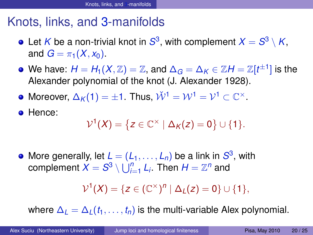## Knots, links, and 3-manifolds

- Let  $K$  be a non-trivial knot in  $S^3,$  with complement  $X=S^3\setminus K,$ and  $G = \pi_1(X, x_0)$ .
- We have:  $H=H_1(X,\mathbb{Z})=\mathbb{Z},$  and  $\Delta_G=\Delta_K\in\mathbb{Z}$   $H=\mathbb{Z}[t^{\pm 1}]$  is the Alexander polynomial of the knot (J. Alexander 1928).
- Moreover,  $\Delta_K(1) = \pm 1$ . Thus,  $\check{\mathcal{W}}^1 = \mathcal{W}^1 = \mathcal{V}^1 \subset \mathbb{C}^\times$ .
- Hence:

$$
\mathcal{V}^1(X) = \left\{ z \in \mathbb{C}^\times \mid \Delta_K(z) = 0 \right\} \cup \{1\}.
$$

More generally, let  $L = (L_1, \ldots, L_n)$  be a link in  $S^3$ , with  $\mathcal{S} = \mathcal{S}^3 \setminus \bigcup_{i=1}^n L_i.$  Then  $H = \mathbb{Z}^n$  and

<span id="page-19-0"></span>
$$
\mathcal{V}^1(X) = \{ z \in (\mathbb{C}^\times)^n \mid \Delta_L(z) = 0 \} \cup \{1\},\
$$

where  $\Delta_l = \Delta_l(t_1, \ldots, t_n)$  is the multi-variable Alex polynomial.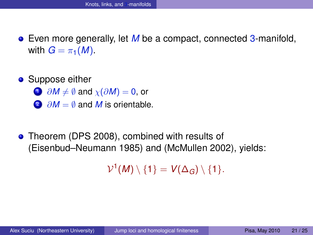- Even more generally, let *M* be a compact, connected 3-manifold, with  $G = \pi_1(M)$ .
- **•** Suppose either
	- $1 \partial M \neq \emptyset$  and  $\chi(\partial M) = 0$ , or
	- 2 ∂*M* = ≬ and *M* is orientable.
- **Theorem (DPS 2008), combined with results of** (Eisenbud–Neumann 1985) and (McMullen 2002), yields:

 $\mathcal{V}^1(M)\setminus\{1\}=\mathsf{V}(\Delta_G)\setminus\{1\}.$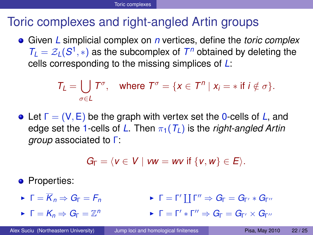## Toric complexes and right-angled Artin groups

Given *L* simplicial complex on *n* vertices, define the *toric complex*  $T_L = Z_L(S^1, *)$  as the subcomplex of  $T^n$  obtained by deleting the cells corresponding to the missing simplices of *L*:

$$
T_L = \bigcup_{\sigma \in L} T^{\sigma}, \quad \text{where } T^{\sigma} = \{x \in T^n \mid x_i = * \text{ if } i \notin \sigma\}.
$$

Let Γ = (V, E) be the graph with vertex set the 0-cells of *L*, and edge set the 1-cells of L. Then  $\pi_1(T_L)$  is the *right-angled Artin group* associated to Γ:

<span id="page-21-0"></span>
$$
G_{\Gamma}=\langle v\in V\mid vw=uv\text{ if }\{v,w\}\in E\rangle.
$$

**•** Properties:

- $\blacktriangleright$   $\Gamma = \overline{K}_p \Rightarrow G_{\Gamma} = F_p$ **►** Γ = Γ' ∐ Γ"  $\Rightarrow$   $G_{\Gamma} = G_{\Gamma'} * G_{\Gamma''}$
- $\blacktriangleright$   $\Gamma = K_n \Rightarrow G_{\Gamma} = \mathbb{Z}^n$  $\blacktriangleright$   $\Gamma = \Gamma' * \Gamma'' \Rightarrow G_{\Gamma} = G_{\Gamma'} \times G_{\Gamma''}$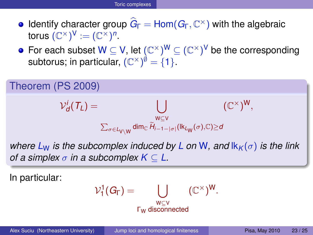- *Identify character group*  $G_F = Hom(G_F, \mathbb{C}^{\times})$  *with the algebraic* torus  $(\mathbb{C}^\times)^{\sf V} := (\mathbb{C}^\times)^n$ .
- For each subset W  $\subseteq$  V, let  $(\mathbb{C}^\times)^{\mathsf{W}} \subseteq (\mathbb{C}^\times)^{\mathsf{V}}$  be the corresponding subtorus; in particular,  $(\mathbb{C}^\times)^{\emptyset}=\{1\}.$



*of a simplex*  $\sigma$  *in a subcomplex*  $K \subset L$ .

In particular:

$$
\mathcal{V}^1_1(G_\Gamma)=\bigcup_{\substack{w\subseteq v\\ \Gamma_W\text{ disconnected}}}(\mathbb{C}^\times)^W.
$$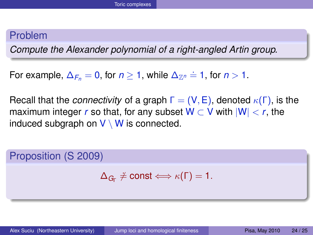#### Problem

*Compute the Alexander polynomial of a right-angled Artin group.*

For example,  $\Delta_{F_n} = 0$ , for  $n \geq 1$ , while  $\Delta_{\mathbb{Z}^n} \doteq 1$ , for  $n > 1$ .

Recall that the *connectivity* of a graph  $\Gamma = (\mathsf{V}, \mathsf{E})$ , denoted  $\kappa(\Gamma)$ , is the maximum integer *r* so that, for any subset  $W \subset V$  with  $|W| < r$ , the induced subgraph on  $V \setminus W$  is connected.

Proposition (S 2009)

$$
\Delta_{G_{\Gamma}}\neq const\Longleftrightarrow \kappa(\Gamma)=1.
$$